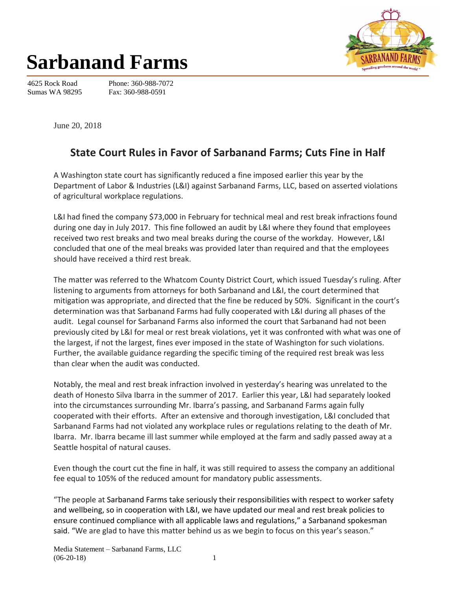

## **Sarbanand Farms**

4625 Rock Road Sumas WA 98295

Phone: 360-988-7072 Fax: 360-988-0591

June 20, 2018

## **State Court Rules in Favor of Sarbanand Farms; Cuts Fine in Half**

A Washington state court has significantly reduced a fine imposed earlier this year by the Department of Labor & Industries (L&I) against Sarbanand Farms, LLC, based on asserted violations of agricultural workplace regulations.

L&I had fined the company \$73,000 in February for technical meal and rest break infractions found during one day in July 2017. This fine followed an audit by L&I where they found that employees received two rest breaks and two meal breaks during the course of the workday. However, L&I concluded that one of the meal breaks was provided later than required and that the employees should have received a third rest break.

The matter was referred to the Whatcom County District Court, which issued Tuesday's ruling. After listening to arguments from attorneys for both Sarbanand and L&I, the court determined that mitigation was appropriate, and directed that the fine be reduced by 50%. Significant in the court's determination was that Sarbanand Farms had fully cooperated with L&I during all phases of the audit. Legal counsel for Sarbanand Farms also informed the court that Sarbanand had not been previously cited by L&I for meal or rest break violations, yet it was confronted with what was one of the largest, if not the largest, fines ever imposed in the state of Washington for such violations. Further, the available guidance regarding the specific timing of the required rest break was less than clear when the audit was conducted.

Notably, the meal and rest break infraction involved in yesterday's hearing was unrelated to the death of Honesto Silva Ibarra in the summer of 2017. Earlier this year, L&I had separately looked into the circumstances surrounding Mr. Ibarra's passing, and Sarbanand Farms again fully cooperated with their efforts. After an extensive and thorough investigation, L&I concluded that Sarbanand Farms had not violated any workplace rules or regulations relating to the death of Mr. Ibarra. Mr. Ibarra became ill last summer while employed at the farm and sadly passed away at a Seattle hospital of natural causes.

Even though the court cut the fine in half, it was still required to assess the company an additional fee equal to 105% of the reduced amount for mandatory public assessments.

"The people at Sarbanand Farms take seriously their responsibilities with respect to worker safety and wellbeing, so in cooperation with L&I, we have updated our meal and rest break policies to ensure continued compliance with all applicable laws and regulations," a Sarbanand spokesman said. "We are glad to have this matter behind us as we begin to focus on this year's season."